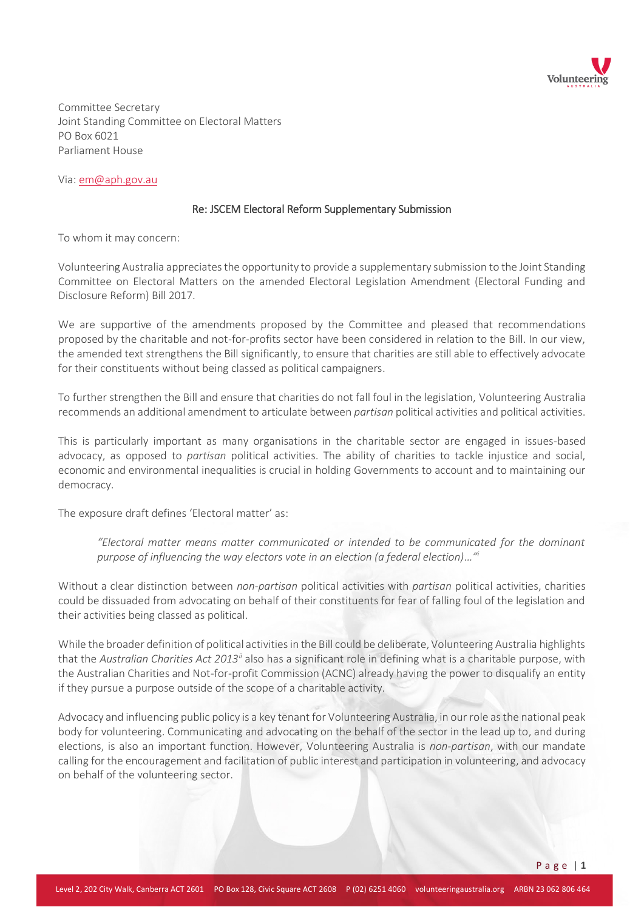

Committee Secretary Joint Standing Committee on Electoral Matters PO Box 6021 Parliament House

Via: em@aph.gov.au

## Re: JSCEM Electoral Reform Supplementary Submission

To whom it may concern:

Volunteering Australia appreciates the opportunity to provide a supplementary submission to the Joint Standing Committee on Electoral Matters on the amended Electoral Legislation Amendment (Electoral Funding and Disclosure Reform) Bill 2017.

We are supportive of the amendments proposed by the Committee and pleased that recommendations proposed by the charitable and not-for-profits sector have been considered in relation to the Bill. In our view, the amended text strengthens the Bill significantly, to ensure that charities are still able to effectively advocate for their constituents without being classed as political campaigners.

To further strengthen the Bill and ensure that charities do not fall foul in the legislation, Volunteering Australia recommends an additional amendment to articulate between *partisan* political activities and political activities.

This is particularly important as many organisations in the charitable sector are engaged in issues-based advocacy, as opposed to *partisan* political activities. The ability of charities to tackle injustice and social, economic and environmental inequalities is crucial in holding Governments to account and to maintaining our democracy.

The exposure draft defines 'Electoral matter' as:

*"Electoral matter means matter communicated or intended to be communicated for the dominant purpose of influencing the way electors vote in an election (a federal election)…"<sup>i</sup>*

Without a clear distinction between *non-partisan* political activities with *partisan* political activities, charities could be dissuaded from advocating on behalf of their constituents for fear of falling foul of the legislation and their activities being classed as political.

While the broader definition of political activities in the Bill could be deliberate, Volunteering Australia highlights that the *Australian Charities Act 2013ii* also has a significant role in defining what is a charitable purpose, with the Australian Charities and Not-for-profit Commission (ACNC) already having the power to disqualify an entity if they pursue a purpose outside of the scope of a charitable activity.

Advocacy and influencing public policy is a key tenant for Volunteering Australia, in our role as the national peak body for volunteering. Communicating and advocating on the behalf of the sector in the lead up to, and during elections, is also an important function. However, Volunteering Australia is *non-partisan*, with our mandate calling for the encouragement and facilitation of public interest and participation in volunteering, and advocacy on behalf of the volunteering sector.